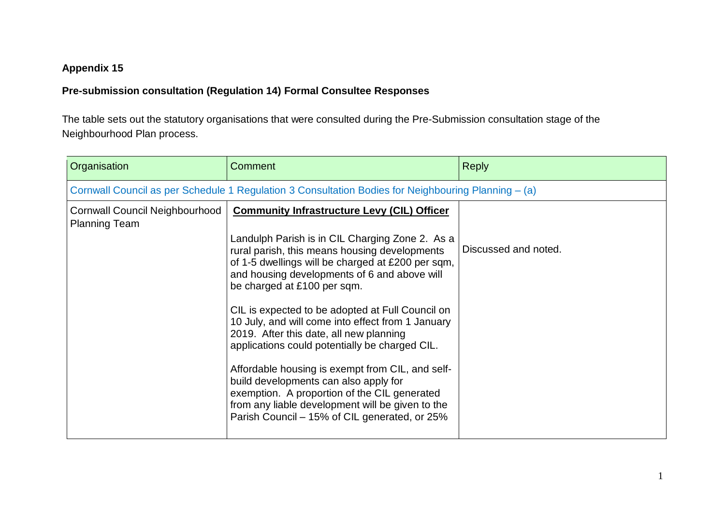## **Appendix 15**

## **Pre-submission consultation (Regulation 14) Formal Consultee Responses**

The table sets out the statutory organisations that were consulted during the Pre-Submission consultation stage of the Neighbourhood Plan process.

| Organisation                                                  | Comment                                                                                                                                                                                                                                                                                                                                                                                                                                                                                                                                                                                                                                                                                                                                            | <b>Reply</b>         |
|---------------------------------------------------------------|----------------------------------------------------------------------------------------------------------------------------------------------------------------------------------------------------------------------------------------------------------------------------------------------------------------------------------------------------------------------------------------------------------------------------------------------------------------------------------------------------------------------------------------------------------------------------------------------------------------------------------------------------------------------------------------------------------------------------------------------------|----------------------|
|                                                               | Cornwall Council as per Schedule 1 Regulation 3 Consultation Bodies for Neighbouring Planning – (a)                                                                                                                                                                                                                                                                                                                                                                                                                                                                                                                                                                                                                                                |                      |
| <b>Cornwall Council Neighbourhood</b><br><b>Planning Team</b> | <b>Community Infrastructure Levy (CIL) Officer</b><br>Landulph Parish is in CIL Charging Zone 2. As a<br>rural parish, this means housing developments<br>of 1-5 dwellings will be charged at £200 per sqm,<br>and housing developments of 6 and above will<br>be charged at £100 per sqm.<br>CIL is expected to be adopted at Full Council on<br>10 July, and will come into effect from 1 January<br>2019. After this date, all new planning<br>applications could potentially be charged CIL.<br>Affordable housing is exempt from CIL, and self-<br>build developments can also apply for<br>exemption. A proportion of the CIL generated<br>from any liable development will be given to the<br>Parish Council - 15% of CIL generated, or 25% | Discussed and noted. |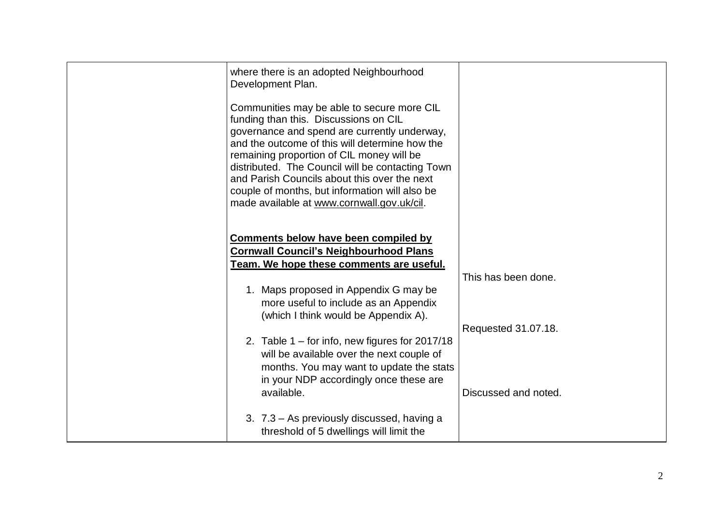| where there is an adopted Neighbourhood<br>Development Plan.<br>Communities may be able to secure more CIL<br>funding than this. Discussions on CIL<br>governance and spend are currently underway,<br>and the outcome of this will determine how the<br>remaining proportion of CIL money will be<br>distributed. The Council will be contacting Town<br>and Parish Councils about this over the next<br>couple of months, but information will also be<br>made available at www.cornwall.gov.uk/cil. |                                            |
|--------------------------------------------------------------------------------------------------------------------------------------------------------------------------------------------------------------------------------------------------------------------------------------------------------------------------------------------------------------------------------------------------------------------------------------------------------------------------------------------------------|--------------------------------------------|
| Comments below have been compiled by<br><b>Cornwall Council's Neighbourhood Plans</b><br>Team. We hope these comments are useful.<br>1. Maps proposed in Appendix G may be<br>more useful to include as an Appendix<br>(which I think would be Appendix A).<br>2. Table $1 -$ for info, new figures for 2017/18                                                                                                                                                                                        | This has been done.<br>Requested 31.07.18. |
| will be available over the next couple of<br>months. You may want to update the stats<br>in your NDP accordingly once these are<br>available.<br>3. 7.3 - As previously discussed, having a<br>threshold of 5 dwellings will limit the                                                                                                                                                                                                                                                                 | Discussed and noted.                       |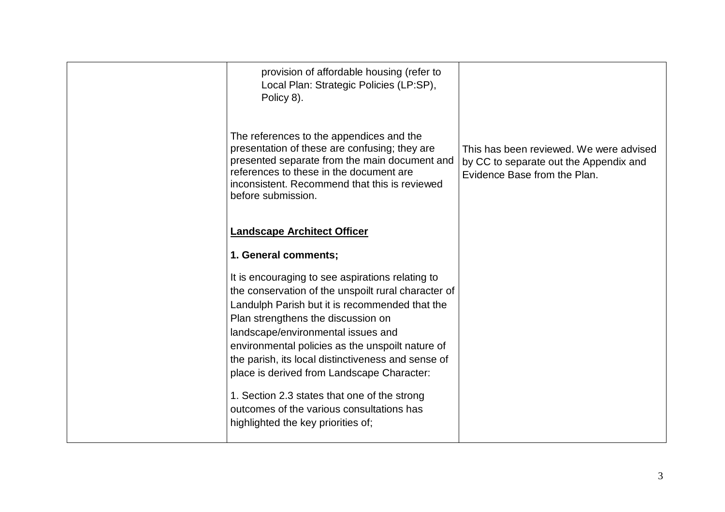| provision of affordable housing (refer to<br>Local Plan: Strategic Policies (LP:SP),<br>Policy 8).                                                                                                                                                                                                                                                                                                                                                                                                                               |                                                                                                                   |
|----------------------------------------------------------------------------------------------------------------------------------------------------------------------------------------------------------------------------------------------------------------------------------------------------------------------------------------------------------------------------------------------------------------------------------------------------------------------------------------------------------------------------------|-------------------------------------------------------------------------------------------------------------------|
| The references to the appendices and the<br>presentation of these are confusing; they are<br>presented separate from the main document and<br>references to these in the document are<br>inconsistent. Recommend that this is reviewed<br>before submission.                                                                                                                                                                                                                                                                     | This has been reviewed. We were advised<br>by CC to separate out the Appendix and<br>Evidence Base from the Plan. |
| <b>Landscape Architect Officer</b>                                                                                                                                                                                                                                                                                                                                                                                                                                                                                               |                                                                                                                   |
| 1. General comments;                                                                                                                                                                                                                                                                                                                                                                                                                                                                                                             |                                                                                                                   |
| It is encouraging to see aspirations relating to<br>the conservation of the unspoilt rural character of<br>Landulph Parish but it is recommended that the<br>Plan strengthens the discussion on<br>landscape/environmental issues and<br>environmental policies as the unspoilt nature of<br>the parish, its local distinctiveness and sense of<br>place is derived from Landscape Character:<br>1. Section 2.3 states that one of the strong<br>outcomes of the various consultations has<br>highlighted the key priorities of; |                                                                                                                   |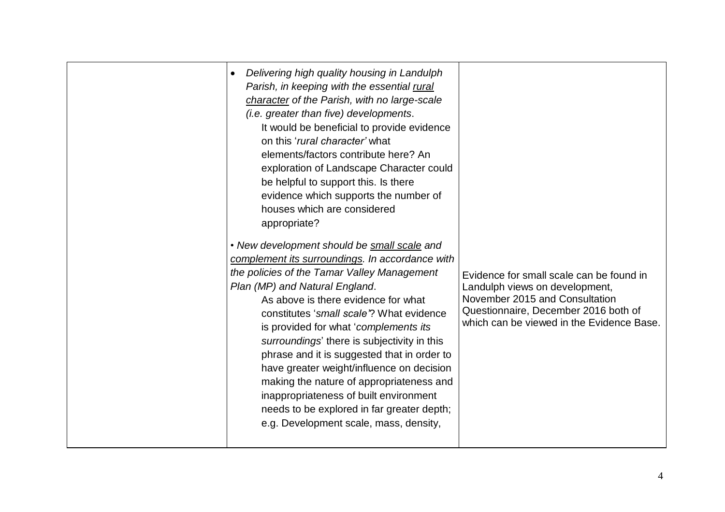| Delivering high quality housing in Landulph<br>Parish, in keeping with the essential rural<br>character of the Parish, with no large-scale<br>(i.e. greater than five) developments.<br>It would be beneficial to provide evidence<br>on this 'rural character' what<br>elements/factors contribute here? An<br>exploration of Landscape Character could<br>be helpful to support this. Is there<br>evidence which supports the number of<br>houses which are considered<br>appropriate?<br>• New development should be small scale and<br>complement its surroundings. In accordance with<br>the policies of the Tamar Valley Management<br>Plan (MP) and Natural England.<br>As above is there evidence for what<br>constitutes 'small scale'? What evidence<br>is provided for what 'complements its<br>surroundings' there is subjectivity in this<br>phrase and it is suggested that in order to<br>have greater weight/influence on decision<br>making the nature of appropriateness and<br>inappropriateness of built environment<br>needs to be explored in far greater depth; | Evidence for small scale can be found in<br>Landulph views on development,<br>November 2015 and Consultation<br>Questionnaire, December 2016 both of<br>which can be viewed in the Evidence Base. |
|----------------------------------------------------------------------------------------------------------------------------------------------------------------------------------------------------------------------------------------------------------------------------------------------------------------------------------------------------------------------------------------------------------------------------------------------------------------------------------------------------------------------------------------------------------------------------------------------------------------------------------------------------------------------------------------------------------------------------------------------------------------------------------------------------------------------------------------------------------------------------------------------------------------------------------------------------------------------------------------------------------------------------------------------------------------------------------------|---------------------------------------------------------------------------------------------------------------------------------------------------------------------------------------------------|
| e.g. Development scale, mass, density,                                                                                                                                                                                                                                                                                                                                                                                                                                                                                                                                                                                                                                                                                                                                                                                                                                                                                                                                                                                                                                                 |                                                                                                                                                                                                   |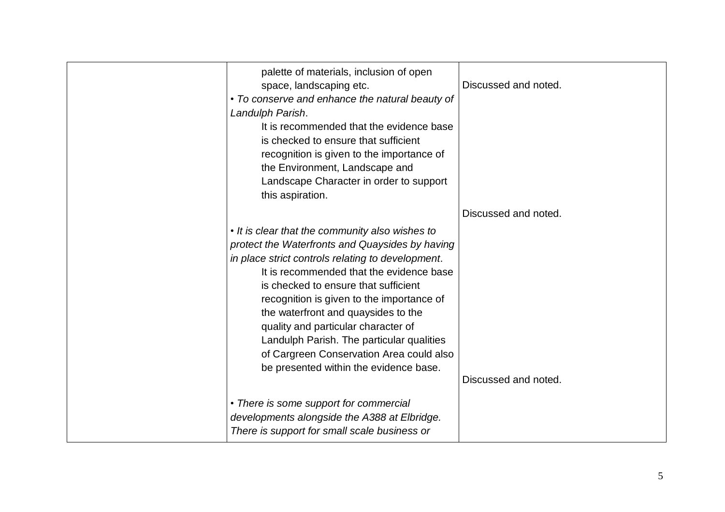| palette of materials, inclusion of open<br>space, landscaping etc.<br>• To conserve and enhance the natural beauty of<br>Landulph Parish.<br>It is recommended that the evidence base<br>is checked to ensure that sufficient<br>recognition is given to the importance of<br>the Environment, Landscape and<br>Landscape Character in order to support<br>this aspiration.                                                                                                                               | Discussed and noted. |
|-----------------------------------------------------------------------------------------------------------------------------------------------------------------------------------------------------------------------------------------------------------------------------------------------------------------------------------------------------------------------------------------------------------------------------------------------------------------------------------------------------------|----------------------|
| • It is clear that the community also wishes to<br>protect the Waterfronts and Quaysides by having<br>in place strict controls relating to development.<br>It is recommended that the evidence base<br>is checked to ensure that sufficient<br>recognition is given to the importance of<br>the waterfront and quaysides to the<br>quality and particular character of<br>Landulph Parish. The particular qualities<br>of Cargreen Conservation Area could also<br>be presented within the evidence base. | Discussed and noted. |
| • There is some support for commercial<br>developments alongside the A388 at Elbridge.<br>There is support for small scale business or                                                                                                                                                                                                                                                                                                                                                                    | Discussed and noted. |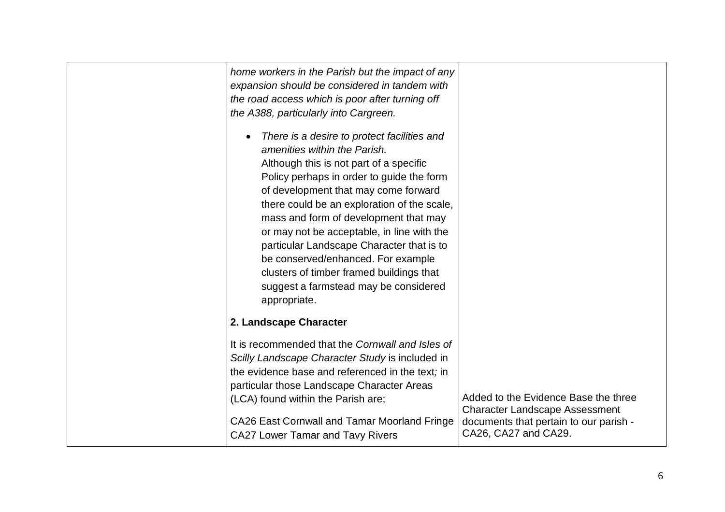| home workers in the Parish but the impact of any<br>expansion should be considered in tandem with<br>the road access which is poor after turning off<br>the A388, particularly into Cargreen.                                                                                                                                                                                                                                                                                                                                             |                                                                                                                         |
|-------------------------------------------------------------------------------------------------------------------------------------------------------------------------------------------------------------------------------------------------------------------------------------------------------------------------------------------------------------------------------------------------------------------------------------------------------------------------------------------------------------------------------------------|-------------------------------------------------------------------------------------------------------------------------|
| There is a desire to protect facilities and<br>amenities within the Parish.<br>Although this is not part of a specific<br>Policy perhaps in order to guide the form<br>of development that may come forward<br>there could be an exploration of the scale,<br>mass and form of development that may<br>or may not be acceptable, in line with the<br>particular Landscape Character that is to<br>be conserved/enhanced. For example<br>clusters of timber framed buildings that<br>suggest a farmstead may be considered<br>appropriate. |                                                                                                                         |
| 2. Landscape Character                                                                                                                                                                                                                                                                                                                                                                                                                                                                                                                    |                                                                                                                         |
| It is recommended that the Cornwall and Isles of<br>Scilly Landscape Character Study is included in<br>the evidence base and referenced in the text; in<br>particular those Landscape Character Areas<br>(LCA) found within the Parish are;<br><b>CA26 East Cornwall and Tamar Moorland Fringe</b>                                                                                                                                                                                                                                        | Added to the Evidence Base the three<br><b>Character Landscape Assessment</b><br>documents that pertain to our parish - |
| <b>CA27 Lower Tamar and Tavy Rivers</b>                                                                                                                                                                                                                                                                                                                                                                                                                                                                                                   | CA26, CA27 and CA29.                                                                                                    |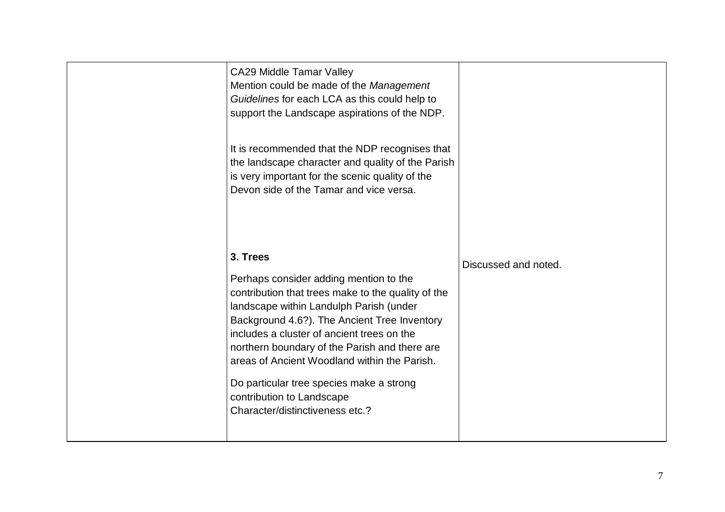| <b>CA29 Middle Tamar Valley</b><br>Mention could be made of the Management<br>Guidelines for each LCA as this could help to<br>support the Landscape aspirations of the NDP.<br>It is recommended that the NDP recognises that<br>the landscape character and quality of the Parish<br>is very important for the scenic quality of the<br>Devon side of the Tamar and vice versa.                                                                              |                      |
|----------------------------------------------------------------------------------------------------------------------------------------------------------------------------------------------------------------------------------------------------------------------------------------------------------------------------------------------------------------------------------------------------------------------------------------------------------------|----------------------|
| 3. Trees<br>Perhaps consider adding mention to the<br>contribution that trees make to the quality of the<br>landscape within Landulph Parish (under<br>Background 4.6?). The Ancient Tree Inventory<br>includes a cluster of ancient trees on the<br>northern boundary of the Parish and there are<br>areas of Ancient Woodland within the Parish.<br>Do particular tree species make a strong<br>contribution to Landscape<br>Character/distinctiveness etc.? | Discussed and noted. |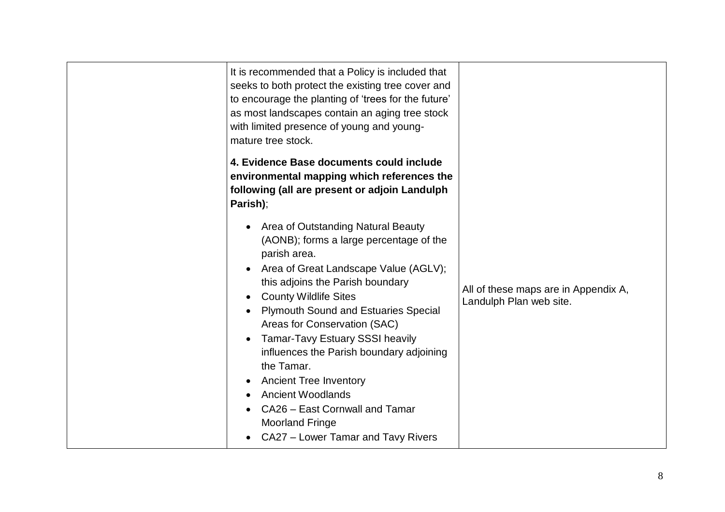| It is recommended that a Policy is included that<br>seeks to both protect the existing tree cover and<br>to encourage the planting of 'trees for the future'<br>as most landscapes contain an aging tree stock<br>with limited presence of young and young-<br>mature tree stock.<br>4. Evidence Base documents could include                                                                                                                                                                                                                                                          |                                                                 |
|----------------------------------------------------------------------------------------------------------------------------------------------------------------------------------------------------------------------------------------------------------------------------------------------------------------------------------------------------------------------------------------------------------------------------------------------------------------------------------------------------------------------------------------------------------------------------------------|-----------------------------------------------------------------|
| environmental mapping which references the<br>following (all are present or adjoin Landulph<br>Parish);                                                                                                                                                                                                                                                                                                                                                                                                                                                                                |                                                                 |
| Area of Outstanding Natural Beauty<br>(AONB); forms a large percentage of the<br>parish area.<br>Area of Great Landscape Value (AGLV);<br>this adjoins the Parish boundary<br><b>County Wildlife Sites</b><br>$\bullet$<br><b>Plymouth Sound and Estuaries Special</b><br>Areas for Conservation (SAC)<br><b>Tamar-Tavy Estuary SSSI heavily</b><br>$\bullet$<br>influences the Parish boundary adjoining<br>the Tamar.<br><b>Ancient Tree Inventory</b><br><b>Ancient Woodlands</b><br>CA26 - East Cornwall and Tamar<br><b>Moorland Fringe</b><br>CA27 - Lower Tamar and Tavy Rivers | All of these maps are in Appendix A,<br>Landulph Plan web site. |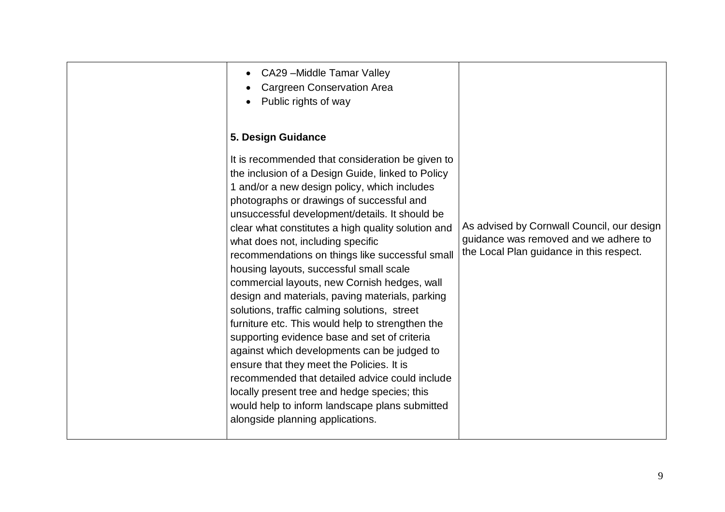| ensure that they meet the Policies. It is<br>recommended that detailed advice could include<br>locally present tree and hedge species; this<br>would help to inform landscape plans submitted<br>alongside planning applications. |
|-----------------------------------------------------------------------------------------------------------------------------------------------------------------------------------------------------------------------------------|
|-----------------------------------------------------------------------------------------------------------------------------------------------------------------------------------------------------------------------------------|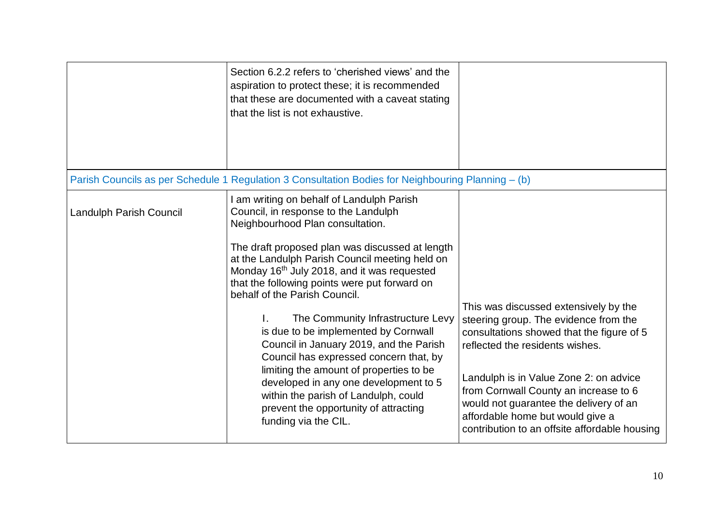|                         | Section 6.2.2 refers to 'cherished views' and the<br>aspiration to protect these; it is recommended<br>that these are documented with a caveat stating<br>that the list is not exhaustive.                                                                                                                                                                                                                                                                                                                                                                                                                                                                                                                                 |                                                                                                                                                                                                                                                                                                                                                                                  |
|-------------------------|----------------------------------------------------------------------------------------------------------------------------------------------------------------------------------------------------------------------------------------------------------------------------------------------------------------------------------------------------------------------------------------------------------------------------------------------------------------------------------------------------------------------------------------------------------------------------------------------------------------------------------------------------------------------------------------------------------------------------|----------------------------------------------------------------------------------------------------------------------------------------------------------------------------------------------------------------------------------------------------------------------------------------------------------------------------------------------------------------------------------|
|                         | Parish Councils as per Schedule 1 Regulation 3 Consultation Bodies for Neighbouring Planning - (b)                                                                                                                                                                                                                                                                                                                                                                                                                                                                                                                                                                                                                         |                                                                                                                                                                                                                                                                                                                                                                                  |
| Landulph Parish Council | I am writing on behalf of Landulph Parish<br>Council, in response to the Landulph<br>Neighbourhood Plan consultation.<br>The draft proposed plan was discussed at length<br>at the Landulph Parish Council meeting held on<br>Monday 16th July 2018, and it was requested<br>that the following points were put forward on<br>behalf of the Parish Council.<br>The Community Infrastructure Levy<br>is due to be implemented by Cornwall<br>Council in January 2019, and the Parish<br>Council has expressed concern that, by<br>limiting the amount of properties to be<br>developed in any one development to 5<br>within the parish of Landulph, could<br>prevent the opportunity of attracting<br>funding via the CIL. | This was discussed extensively by the<br>steering group. The evidence from the<br>consultations showed that the figure of 5<br>reflected the residents wishes.<br>Landulph is in Value Zone 2: on advice<br>from Cornwall County an increase to 6<br>would not guarantee the delivery of an<br>affordable home but would give a<br>contribution to an offsite affordable housing |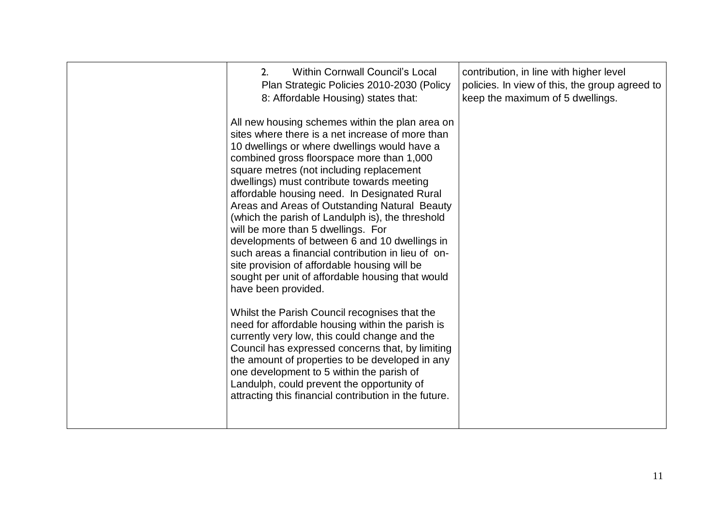| <b>Within Cornwall Council's Local</b><br>2.<br>Plan Strategic Policies 2010-2030 (Policy<br>8: Affordable Housing) states that:                                                                                                                                                                                                                                                                                                                                                                                                                                                                                                                                                                                        | contribution, in line with higher level<br>policies. In view of this, the group agreed to<br>keep the maximum of 5 dwellings. |
|-------------------------------------------------------------------------------------------------------------------------------------------------------------------------------------------------------------------------------------------------------------------------------------------------------------------------------------------------------------------------------------------------------------------------------------------------------------------------------------------------------------------------------------------------------------------------------------------------------------------------------------------------------------------------------------------------------------------------|-------------------------------------------------------------------------------------------------------------------------------|
| All new housing schemes within the plan area on<br>sites where there is a net increase of more than<br>10 dwellings or where dwellings would have a<br>combined gross floorspace more than 1,000<br>square metres (not including replacement<br>dwellings) must contribute towards meeting<br>affordable housing need. In Designated Rural<br>Areas and Areas of Outstanding Natural Beauty<br>(which the parish of Landulph is), the threshold<br>will be more than 5 dwellings. For<br>developments of between 6 and 10 dwellings in<br>such areas a financial contribution in lieu of on-<br>site provision of affordable housing will be<br>sought per unit of affordable housing that would<br>have been provided. |                                                                                                                               |
| Whilst the Parish Council recognises that the<br>need for affordable housing within the parish is<br>currently very low, this could change and the<br>Council has expressed concerns that, by limiting<br>the amount of properties to be developed in any<br>one development to 5 within the parish of<br>Landulph, could prevent the opportunity of<br>attracting this financial contribution in the future.                                                                                                                                                                                                                                                                                                           |                                                                                                                               |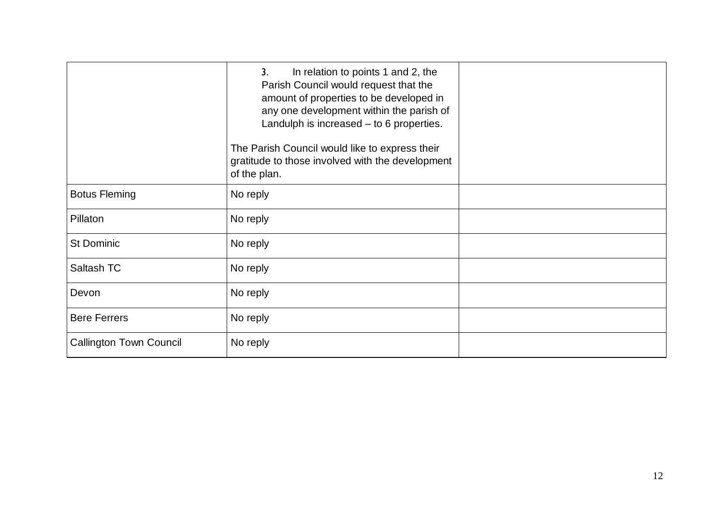|                                | 3 <sub>1</sub><br>In relation to points 1 and 2, the<br>Parish Council would request that the<br>amount of properties to be developed in<br>any one development within the parish of<br>Landulph is increased - to 6 properties.<br>The Parish Council would like to express their<br>gratitude to those involved with the development<br>of the plan. |  |
|--------------------------------|--------------------------------------------------------------------------------------------------------------------------------------------------------------------------------------------------------------------------------------------------------------------------------------------------------------------------------------------------------|--|
| <b>Botus Fleming</b>           | No reply                                                                                                                                                                                                                                                                                                                                               |  |
| Pillaton                       | No reply                                                                                                                                                                                                                                                                                                                                               |  |
| <b>St Dominic</b>              | No reply                                                                                                                                                                                                                                                                                                                                               |  |
| Saltash TC                     | No reply                                                                                                                                                                                                                                                                                                                                               |  |
| Devon                          | No reply                                                                                                                                                                                                                                                                                                                                               |  |
| <b>Bere Ferrers</b>            | No reply                                                                                                                                                                                                                                                                                                                                               |  |
| <b>Callington Town Council</b> | No reply                                                                                                                                                                                                                                                                                                                                               |  |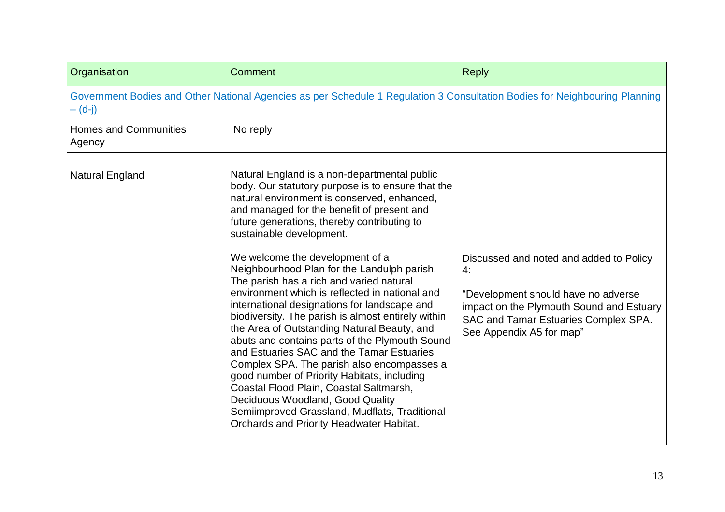| Organisation                           | Comment                                                                                                                                                                                                                                                                                                                                                                                                                                                                                                                                                                                                                                                                                                                                                                                                                                                                                                                                                                                | <b>Reply</b>                                                                                                                                                                                         |
|----------------------------------------|----------------------------------------------------------------------------------------------------------------------------------------------------------------------------------------------------------------------------------------------------------------------------------------------------------------------------------------------------------------------------------------------------------------------------------------------------------------------------------------------------------------------------------------------------------------------------------------------------------------------------------------------------------------------------------------------------------------------------------------------------------------------------------------------------------------------------------------------------------------------------------------------------------------------------------------------------------------------------------------|------------------------------------------------------------------------------------------------------------------------------------------------------------------------------------------------------|
| — (d-j)                                | Government Bodies and Other National Agencies as per Schedule 1 Regulation 3 Consultation Bodies for Neighbouring Planning                                                                                                                                                                                                                                                                                                                                                                                                                                                                                                                                                                                                                                                                                                                                                                                                                                                             |                                                                                                                                                                                                      |
| <b>Homes and Communities</b><br>Agency | No reply                                                                                                                                                                                                                                                                                                                                                                                                                                                                                                                                                                                                                                                                                                                                                                                                                                                                                                                                                                               |                                                                                                                                                                                                      |
| <b>Natural England</b>                 | Natural England is a non-departmental public<br>body. Our statutory purpose is to ensure that the<br>natural environment is conserved, enhanced,<br>and managed for the benefit of present and<br>future generations, thereby contributing to<br>sustainable development.<br>We welcome the development of a<br>Neighbourhood Plan for the Landulph parish.<br>The parish has a rich and varied natural<br>environment which is reflected in national and<br>international designations for landscape and<br>biodiversity. The parish is almost entirely within<br>the Area of Outstanding Natural Beauty, and<br>abuts and contains parts of the Plymouth Sound<br>and Estuaries SAC and the Tamar Estuaries<br>Complex SPA. The parish also encompasses a<br>good number of Priority Habitats, including<br>Coastal Flood Plain, Coastal Saltmarsh,<br>Deciduous Woodland, Good Quality<br>Semiimproved Grassland, Mudflats, Traditional<br>Orchards and Priority Headwater Habitat. | Discussed and noted and added to Policy<br>4:<br>"Development should have no adverse<br>impact on the Plymouth Sound and Estuary<br>SAC and Tamar Estuaries Complex SPA.<br>See Appendix A5 for map" |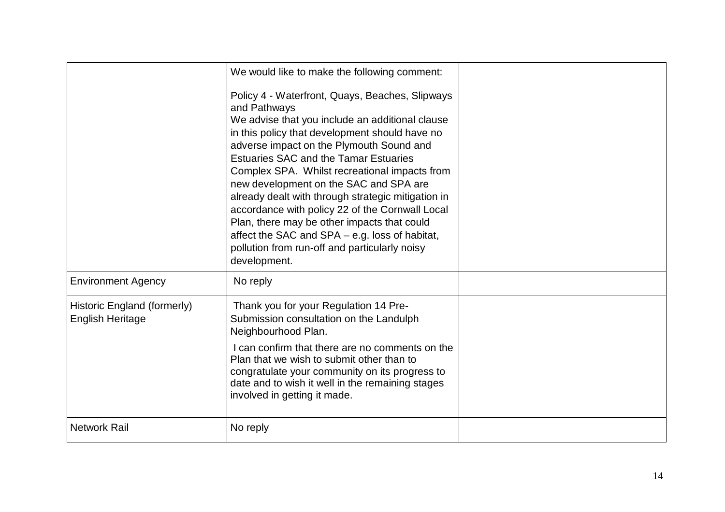|                                                        | We would like to make the following comment:<br>Policy 4 - Waterfront, Quays, Beaches, Slipways<br>and Pathways<br>We advise that you include an additional clause<br>in this policy that development should have no<br>adverse impact on the Plymouth Sound and<br><b>Estuaries SAC and the Tamar Estuaries</b><br>Complex SPA. Whilst recreational impacts from<br>new development on the SAC and SPA are<br>already dealt with through strategic mitigation in<br>accordance with policy 22 of the Cornwall Local<br>Plan, there may be other impacts that could<br>affect the SAC and SPA – e.g. loss of habitat,<br>pollution from run-off and particularly noisy<br>development. |  |
|--------------------------------------------------------|----------------------------------------------------------------------------------------------------------------------------------------------------------------------------------------------------------------------------------------------------------------------------------------------------------------------------------------------------------------------------------------------------------------------------------------------------------------------------------------------------------------------------------------------------------------------------------------------------------------------------------------------------------------------------------------|--|
| <b>Environment Agency</b>                              | No reply                                                                                                                                                                                                                                                                                                                                                                                                                                                                                                                                                                                                                                                                               |  |
| Historic England (formerly)<br><b>English Heritage</b> | Thank you for your Regulation 14 Pre-<br>Submission consultation on the Landulph<br>Neighbourhood Plan.<br>I can confirm that there are no comments on the<br>Plan that we wish to submit other than to<br>congratulate your community on its progress to<br>date and to wish it well in the remaining stages<br>involved in getting it made.                                                                                                                                                                                                                                                                                                                                          |  |
| <b>Network Rail</b>                                    | No reply                                                                                                                                                                                                                                                                                                                                                                                                                                                                                                                                                                                                                                                                               |  |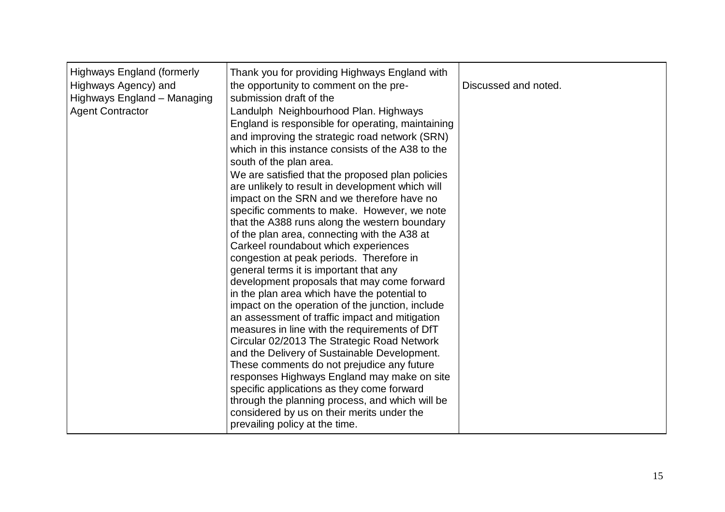| <b>Highways England (formerly</b><br>Highways Agency) and<br>Highways England - Managing<br><b>Agent Contractor</b> | Thank you for providing Highways England with<br>the opportunity to comment on the pre-<br>submission draft of the<br>Landulph Neighbourhood Plan. Highways<br>England is responsible for operating, maintaining<br>and improving the strategic road network (SRN)<br>which in this instance consists of the A38 to the<br>south of the plan area.<br>We are satisfied that the proposed plan policies<br>are unlikely to result in development which will<br>impact on the SRN and we therefore have no<br>specific comments to make. However, we note<br>that the A388 runs along the western boundary<br>of the plan area, connecting with the A38 at<br>Carkeel roundabout which experiences<br>congestion at peak periods. Therefore in<br>general terms it is important that any<br>development proposals that may come forward<br>in the plan area which have the potential to<br>impact on the operation of the junction, include<br>an assessment of traffic impact and mitigation<br>measures in line with the requirements of DfT<br>Circular 02/2013 The Strategic Road Network<br>and the Delivery of Sustainable Development.<br>These comments do not prejudice any future<br>responses Highways England may make on site<br>specific applications as they come forward<br>through the planning process, and which will be<br>considered by us on their merits under the<br>prevailing policy at the time. | Discussed and noted. |
|---------------------------------------------------------------------------------------------------------------------|---------------------------------------------------------------------------------------------------------------------------------------------------------------------------------------------------------------------------------------------------------------------------------------------------------------------------------------------------------------------------------------------------------------------------------------------------------------------------------------------------------------------------------------------------------------------------------------------------------------------------------------------------------------------------------------------------------------------------------------------------------------------------------------------------------------------------------------------------------------------------------------------------------------------------------------------------------------------------------------------------------------------------------------------------------------------------------------------------------------------------------------------------------------------------------------------------------------------------------------------------------------------------------------------------------------------------------------------------------------------------------------------------------------------------|----------------------|
|---------------------------------------------------------------------------------------------------------------------|---------------------------------------------------------------------------------------------------------------------------------------------------------------------------------------------------------------------------------------------------------------------------------------------------------------------------------------------------------------------------------------------------------------------------------------------------------------------------------------------------------------------------------------------------------------------------------------------------------------------------------------------------------------------------------------------------------------------------------------------------------------------------------------------------------------------------------------------------------------------------------------------------------------------------------------------------------------------------------------------------------------------------------------------------------------------------------------------------------------------------------------------------------------------------------------------------------------------------------------------------------------------------------------------------------------------------------------------------------------------------------------------------------------------------|----------------------|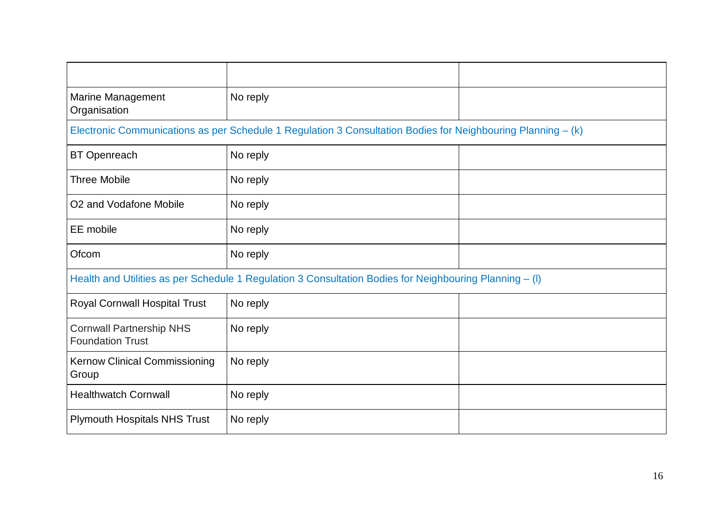| Marine Management<br>Organisation                                                                       | No reply                                                                                                     |  |
|---------------------------------------------------------------------------------------------------------|--------------------------------------------------------------------------------------------------------------|--|
|                                                                                                         | Electronic Communications as per Schedule 1 Regulation 3 Consultation Bodies for Neighbouring Planning – (k) |  |
| <b>BT Openreach</b>                                                                                     | No reply                                                                                                     |  |
| <b>Three Mobile</b>                                                                                     | No reply                                                                                                     |  |
| O2 and Vodafone Mobile                                                                                  | No reply                                                                                                     |  |
| EE mobile                                                                                               | No reply                                                                                                     |  |
| Ofcom                                                                                                   | No reply                                                                                                     |  |
| Health and Utilities as per Schedule 1 Regulation 3 Consultation Bodies for Neighbouring Planning - (I) |                                                                                                              |  |
| Royal Cornwall Hospital Trust                                                                           | No reply                                                                                                     |  |
| <b>Cornwall Partnership NHS</b><br><b>Foundation Trust</b>                                              | No reply                                                                                                     |  |
| <b>Kernow Clinical Commissioning</b><br>Group                                                           | No reply                                                                                                     |  |
| <b>Healthwatch Cornwall</b>                                                                             | No reply                                                                                                     |  |
| <b>Plymouth Hospitals NHS Trust</b>                                                                     | No reply                                                                                                     |  |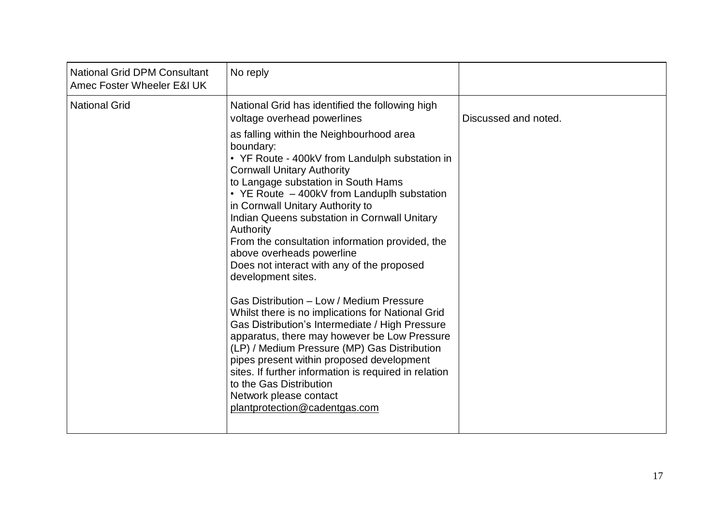| <b>National Grid DPM Consultant</b><br>Amec Foster Wheeler E&I UK | No reply                                                                                                                                                                                                                                                                                                                                                                                                                                                                                                                                                                                                                                                                                                                                                                                                                                                                                                                                                                                                                  |                      |
|-------------------------------------------------------------------|---------------------------------------------------------------------------------------------------------------------------------------------------------------------------------------------------------------------------------------------------------------------------------------------------------------------------------------------------------------------------------------------------------------------------------------------------------------------------------------------------------------------------------------------------------------------------------------------------------------------------------------------------------------------------------------------------------------------------------------------------------------------------------------------------------------------------------------------------------------------------------------------------------------------------------------------------------------------------------------------------------------------------|----------------------|
| <b>National Grid</b>                                              | National Grid has identified the following high<br>voltage overhead powerlines<br>as falling within the Neighbourhood area<br>boundary:<br>• YF Route - 400kV from Landulph substation in<br><b>Cornwall Unitary Authority</b><br>to Langage substation in South Hams<br>• YE Route - 400kV from Landuplh substation<br>in Cornwall Unitary Authority to<br>Indian Queens substation in Cornwall Unitary<br>Authority<br>From the consultation information provided, the<br>above overheads powerline<br>Does not interact with any of the proposed<br>development sites.<br>Gas Distribution - Low / Medium Pressure<br>Whilst there is no implications for National Grid<br>Gas Distribution's Intermediate / High Pressure<br>apparatus, there may however be Low Pressure<br>(LP) / Medium Pressure (MP) Gas Distribution<br>pipes present within proposed development<br>sites. If further information is required in relation<br>to the Gas Distribution<br>Network please contact<br>plantprotection@cadentgas.com | Discussed and noted. |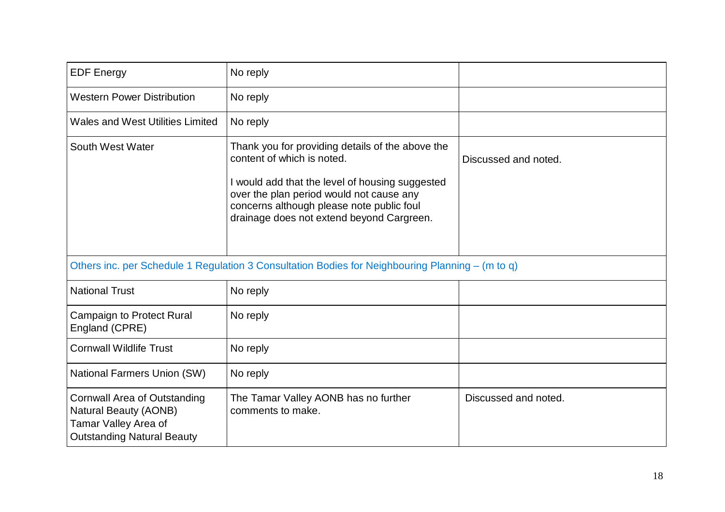| <b>EDF Energy</b>                                                                                                                | No reply                                                                                                                                                                                                                                                                |                      |
|----------------------------------------------------------------------------------------------------------------------------------|-------------------------------------------------------------------------------------------------------------------------------------------------------------------------------------------------------------------------------------------------------------------------|----------------------|
| <b>Western Power Distribution</b>                                                                                                | No reply                                                                                                                                                                                                                                                                |                      |
| <b>Wales and West Utilities Limited</b>                                                                                          | No reply                                                                                                                                                                                                                                                                |                      |
| South West Water                                                                                                                 | Thank you for providing details of the above the<br>content of which is noted.<br>I would add that the level of housing suggested<br>over the plan period would not cause any<br>concerns although please note public foul<br>drainage does not extend beyond Cargreen. | Discussed and noted. |
|                                                                                                                                  | Others inc. per Schedule 1 Regulation 3 Consultation Bodies for Neighbouring Planning – (m to q)                                                                                                                                                                        |                      |
| <b>National Trust</b>                                                                                                            | No reply                                                                                                                                                                                                                                                                |                      |
| <b>Campaign to Protect Rural</b><br>England (CPRE)                                                                               | No reply                                                                                                                                                                                                                                                                |                      |
| <b>Cornwall Wildlife Trust</b>                                                                                                   | No reply                                                                                                                                                                                                                                                                |                      |
| <b>National Farmers Union (SW)</b>                                                                                               | No reply                                                                                                                                                                                                                                                                |                      |
| <b>Cornwall Area of Outstanding</b><br><b>Natural Beauty (AONB)</b><br>Tamar Valley Area of<br><b>Outstanding Natural Beauty</b> | The Tamar Valley AONB has no further<br>comments to make.                                                                                                                                                                                                               | Discussed and noted. |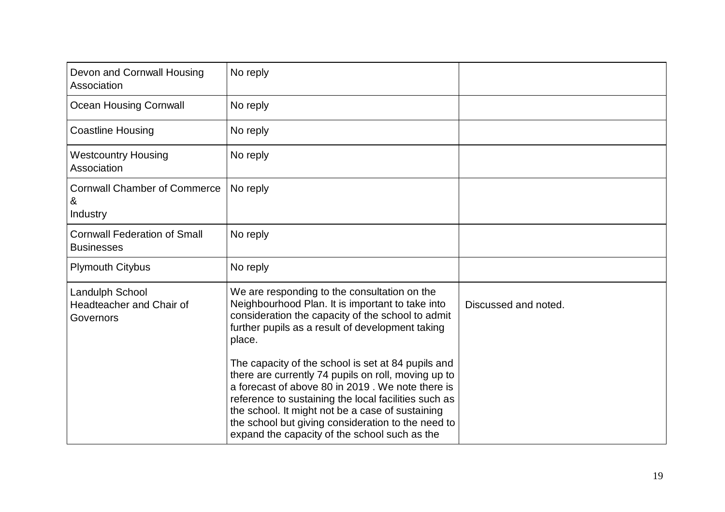| Devon and Cornwall Housing<br>Association                       | No reply                                                                                                                                                                                                                                                                                                                                                                         |                      |
|-----------------------------------------------------------------|----------------------------------------------------------------------------------------------------------------------------------------------------------------------------------------------------------------------------------------------------------------------------------------------------------------------------------------------------------------------------------|----------------------|
| <b>Ocean Housing Cornwall</b>                                   | No reply                                                                                                                                                                                                                                                                                                                                                                         |                      |
| <b>Coastline Housing</b>                                        | No reply                                                                                                                                                                                                                                                                                                                                                                         |                      |
| <b>Westcountry Housing</b><br>Association                       | No reply                                                                                                                                                                                                                                                                                                                                                                         |                      |
| <b>Cornwall Chamber of Commerce</b><br>&<br>Industry            | No reply                                                                                                                                                                                                                                                                                                                                                                         |                      |
| <b>Cornwall Federation of Small</b><br><b>Businesses</b>        | No reply                                                                                                                                                                                                                                                                                                                                                                         |                      |
| <b>Plymouth Citybus</b>                                         | No reply                                                                                                                                                                                                                                                                                                                                                                         |                      |
| <b>Landulph School</b><br>Headteacher and Chair of<br>Governors | We are responding to the consultation on the<br>Neighbourhood Plan. It is important to take into<br>consideration the capacity of the school to admit<br>further pupils as a result of development taking<br>place.                                                                                                                                                              | Discussed and noted. |
|                                                                 | The capacity of the school is set at 84 pupils and<br>there are currently 74 pupils on roll, moving up to<br>a forecast of above 80 in 2019. We note there is<br>reference to sustaining the local facilities such as<br>the school. It might not be a case of sustaining<br>the school but giving consideration to the need to<br>expand the capacity of the school such as the |                      |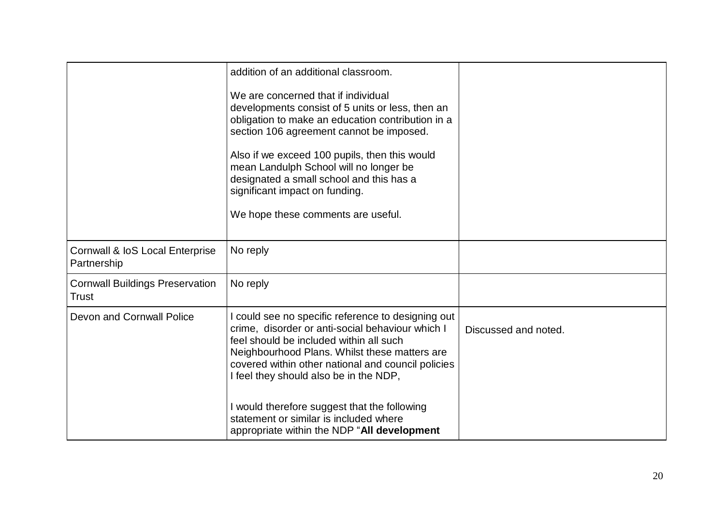|                                                        | addition of an additional classroom.<br>We are concerned that if individual<br>developments consist of 5 units or less, then an<br>obligation to make an education contribution in a<br>section 106 agreement cannot be imposed.<br>Also if we exceed 100 pupils, then this would<br>mean Landulph School will no longer be<br>designated a small school and this has a<br>significant impact on funding.<br>We hope these comments are useful. |                      |
|--------------------------------------------------------|-------------------------------------------------------------------------------------------------------------------------------------------------------------------------------------------------------------------------------------------------------------------------------------------------------------------------------------------------------------------------------------------------------------------------------------------------|----------------------|
| Cornwall & IoS Local Enterprise<br>Partnership         | No reply                                                                                                                                                                                                                                                                                                                                                                                                                                        |                      |
| <b>Cornwall Buildings Preservation</b><br><b>Trust</b> | No reply                                                                                                                                                                                                                                                                                                                                                                                                                                        |                      |
| Devon and Cornwall Police                              | could see no specific reference to designing out<br>crime, disorder or anti-social behaviour which I<br>feel should be included within all such<br>Neighbourhood Plans. Whilst these matters are<br>covered within other national and council policies<br>I feel they should also be in the NDP,<br>would therefore suggest that the following<br>statement or similar is included where<br>appropriate within the NDP "All development         | Discussed and noted. |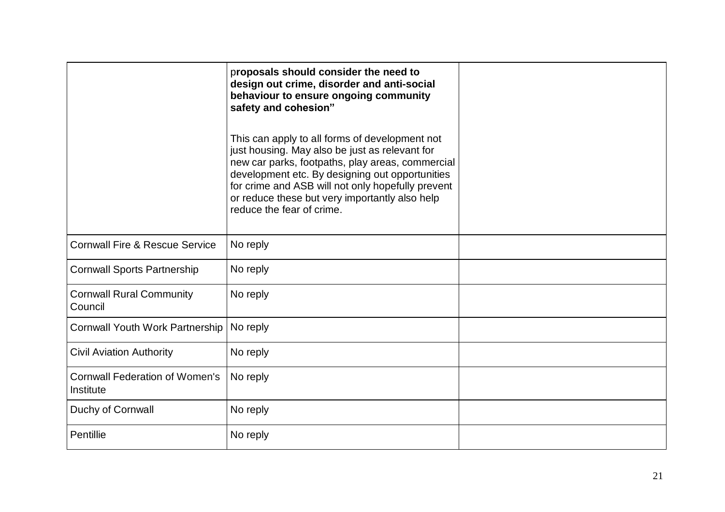|                                                    | proposals should consider the need to<br>design out crime, disorder and anti-social<br>behaviour to ensure ongoing community<br>safety and cohesion"                                                                                                                                                                                        |  |
|----------------------------------------------------|---------------------------------------------------------------------------------------------------------------------------------------------------------------------------------------------------------------------------------------------------------------------------------------------------------------------------------------------|--|
|                                                    | This can apply to all forms of development not<br>just housing. May also be just as relevant for<br>new car parks, footpaths, play areas, commercial<br>development etc. By designing out opportunities<br>for crime and ASB will not only hopefully prevent<br>or reduce these but very importantly also help<br>reduce the fear of crime. |  |
| <b>Cornwall Fire &amp; Rescue Service</b>          | No reply                                                                                                                                                                                                                                                                                                                                    |  |
| <b>Cornwall Sports Partnership</b>                 | No reply                                                                                                                                                                                                                                                                                                                                    |  |
| <b>Cornwall Rural Community</b><br>Council         | No reply                                                                                                                                                                                                                                                                                                                                    |  |
| <b>Cornwall Youth Work Partnership</b>             | No reply                                                                                                                                                                                                                                                                                                                                    |  |
| <b>Civil Aviation Authority</b>                    | No reply                                                                                                                                                                                                                                                                                                                                    |  |
| <b>Cornwall Federation of Women's</b><br>Institute | No reply                                                                                                                                                                                                                                                                                                                                    |  |
| Duchy of Cornwall                                  | No reply                                                                                                                                                                                                                                                                                                                                    |  |
| Pentillie                                          | No reply                                                                                                                                                                                                                                                                                                                                    |  |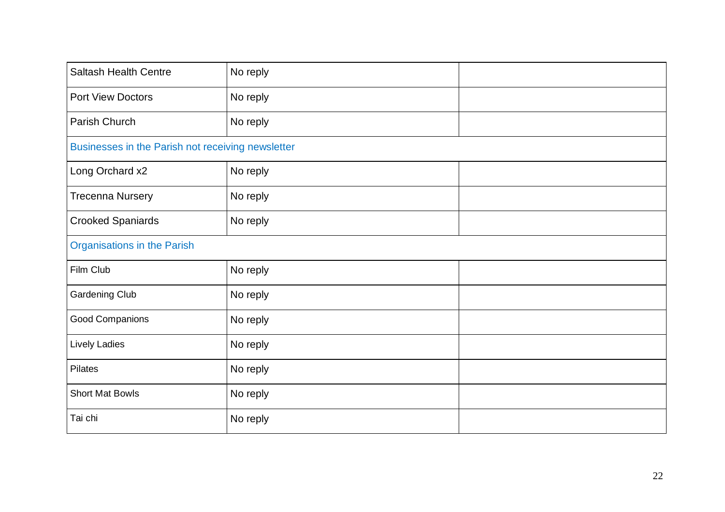| <b>Saltash Health Centre</b>                      | No reply |  |
|---------------------------------------------------|----------|--|
| <b>Port View Doctors</b>                          | No reply |  |
| Parish Church                                     | No reply |  |
| Businesses in the Parish not receiving newsletter |          |  |
| Long Orchard x2                                   | No reply |  |
| <b>Trecenna Nursery</b>                           | No reply |  |
| <b>Crooked Spaniards</b>                          | No reply |  |
| <b>Organisations in the Parish</b>                |          |  |
| Film Club                                         | No reply |  |
| <b>Gardening Club</b>                             | No reply |  |
| Good Companions                                   | No reply |  |
| Lively Ladies                                     | No reply |  |
| <b>Pilates</b>                                    | No reply |  |
| <b>Short Mat Bowls</b>                            | No reply |  |
| Tai chi                                           | No reply |  |